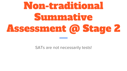# Non-traditional Summative Assessment @ Stage 2

SATs are not necessarily tests!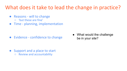# What does it take to lead the change in practice?

- Reasons will to change
	- 'but these are fine'
- Time planning, implementation

● Evidence - confidence to change

What would the challenge be in your site?

- Support and a place to start
	- Review and accountability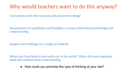# Why would teachers want to do this anyway?

Connections with other courses and assessment design

Development of capabilities and flexibility in using mathematical knowledge and understanding

Support and challenge for a range of students

Where are they likely to use maths out in the world? Other skills and capacities work with mathematical understanding

● How could you promote this type of thinking at your site?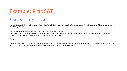# Example: Prac SAT

### Sports Shots (Methods)

For your binomials SAT, you will complete a "sports shots" practical and use the data to analyse binomial statistics. You will submit a scaffolded practical report with the following sections:

- A brief method outlining your chosen "shot' and how you collected the data
- Results, presenting both the expected results for a specific number of throws and the actual results. This section will include calculations for each result.

A discussion of the accuracy of using binomial statistical methods to predict results.

#### **Design**

In pairs or threes, decide on a "sports shot" to use, with clear success and failure criteria. For example, a basketball goal (or miss), a frisbee throw into a target, a soccer goal, or a dart throw. The shot should be relevant to a sports game (eg basketball, ultimate frisbee, darts).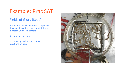# Example: Prac SAT

### Fields of Glory (Spec)

Production of an experimental slope field, drawing of solution curves, and fitting a model solution to a sample.

See attached section.

Followed up with some standard questions on DEs.

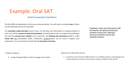### **Example: Oral SAT**

#### **Oral Presentation Task Sheet**

The final Skills and Applications Task is your oral presentation. You will need to complete two of these: one for Methods and one for Specialist

You nominate a date and topic of your choice. On the date, you will be given a complex problem to solve. You will have access to notes and calculators, and will be given time to complete the problem(s). You will then present your solution and in particular, the thinking and reasoning behind it, orally. Visual aids (eg presentation slides, whiteboard, posters/paper) can be used to support your explanation. Your presentation should take no more than 5 minutes.

Feedback, ideas and discussions with the teacher are allowed during the problem-solving time, although obviously teachers cannot give students answers.

Complex numbers

Using an Argand Plane, create an image of an animal.

Applications of differential calculus

An elevator moves between different floors in a building. Describe, using language and  $\bullet$ mathematically, the motion of the elevator during two different time periods.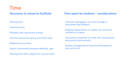### Time

### **Structures in school to facilitate**

Planning time

Teaching teams

Flexibility with assessment timings

Common assessment group and hence tasks

Moderation processes

Explicit commonality between Methods, Spec

Working with other subjects for common skills

### **Time spent by students - considerations**

Classroom pedagogies can come through in assessment (eg dialogue)

Building independence in students for prep time confidence to speak

Assessment conditions to create safe learning (and assessment) environments

Student management of overall workload/stress (pros and cons)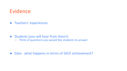### Evidence

● Teachers' experiences

### ● Students (you will hear from them!)

○ Think of questions you would like students to answer

● Data - what happens in terms of SACE achievement?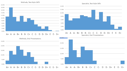

 $A$   $A$ -  $B$ +  $B$ D  $E+$  $A+$  $B - C + C$  $C D - D +$ E-E.

 $B+$  $B A+$ B  $C+$ C  $C-$ D  $D-$ D+ Ε A  $A-$ 

E-

E+

Methods, Test-Style SATS

Specialist, Test-Style SATs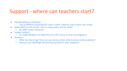## Support - where can teachers start?

- Interdisciplinary inspiration
	- Lots of different assessments used in other subjects and at other year levels
- Applicability to the world who is using maths and for what?
	- eg AMSI Career resources
- Subject outline!
	- It's really flexible in its definition of a SAT (more so than investigation)
- Students
	- What do they bring? How can you harness their skills to show maths evidence?
	- How can you challenge and promote growth in your students?